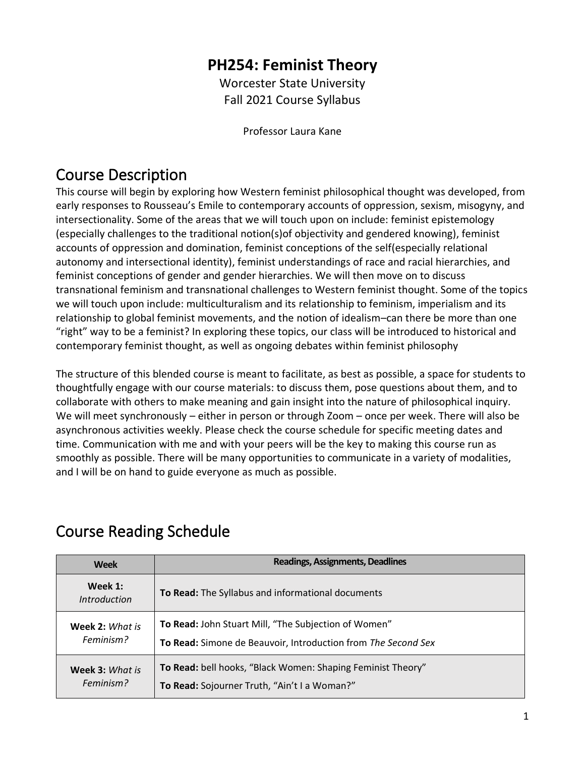## **PH254: Feminist Theory**

Worcester State University Fall 2021 Course Syllabus

Professor Laura Kane

## Course Description

This course will begin by exploring how Western feminist philosophical thought was developed, from early responses to Rousseau's Emile to contemporary accounts of oppression, sexism, misogyny, and intersectionality. Some of the areas that we will touch upon on include: feminist epistemology (especially challenges to the traditional notion(s)of objectivity and gendered knowing), feminist accounts of oppression and domination, feminist conceptions of the self(especially relational autonomy and intersectional identity), feminist understandings of race and racial hierarchies, and feminist conceptions of gender and gender hierarchies. We will then move on to discuss transnational feminism and transnational challenges to Western feminist thought. Some of the topics we will touch upon include: multiculturalism and its relationship to feminism, imperialism and its relationship to global feminist movements, and the notion of idealism–can there be more than one "right" way to be a feminist? In exploring these topics, our class will be introduced to historical and contemporary feminist thought, as well as ongoing debates within feminist philosophy

The structure of this blended course is meant to facilitate, as best as possible, a space for students to thoughtfully engage with our course materials: to discuss them, pose questions about them, and to collaborate with others to make meaning and gain insight into the nature of philosophical inquiry. We will meet synchronously – either in person or through Zoom – once per week. There will also be asynchronous activities weekly. Please check the course schedule for specific meeting dates and time. Communication with me and with your peers will be the key to making this course run as smoothly as possible. There will be many opportunities to communicate in a variety of modalities, and I will be on hand to guide everyone as much as possible.

## Course Reading Schedule

| <b>Week</b>                         | <b>Readings, Assignments, Deadlines</b>                                                                               |
|-------------------------------------|-----------------------------------------------------------------------------------------------------------------------|
| Week 1:<br><i>Introduction</i>      | To Read: The Syllabus and informational documents                                                                     |
| Week 2: What is<br>Feminism?        | To Read: John Stuart Mill, "The Subjection of Women"<br>To Read: Simone de Beauvoir, Introduction from The Second Sex |
|                                     |                                                                                                                       |
| <b>Week 3: What is</b><br>Feminism? | To Read: bell hooks, "Black Women: Shaping Feminist Theory"                                                           |
|                                     | To Read: Sojourner Truth, "Ain't I a Woman?"                                                                          |